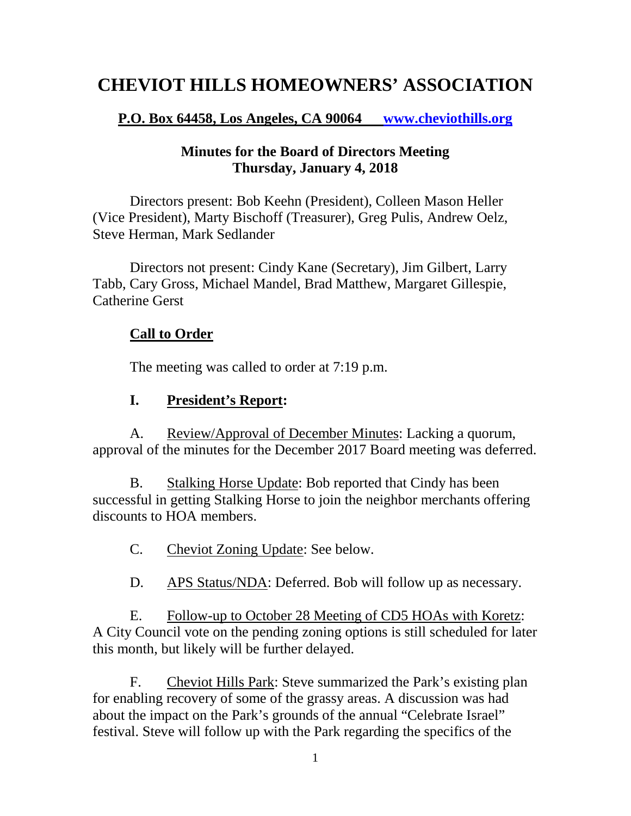# **CHEVIOT HILLS HOMEOWNERS' ASSOCIATION**

#### **P.O. Box 64458, Los Angeles, CA 90064 [www.cheviothills.org](http://www.cheviothills.org/)**

#### **Minutes for the Board of Directors Meeting Thursday, January 4, 2018**

Directors present: Bob Keehn (President), Colleen Mason Heller (Vice President), Marty Bischoff (Treasurer), Greg Pulis, Andrew Oelz, Steve Herman, Mark Sedlander

Directors not present: Cindy Kane (Secretary), Jim Gilbert, Larry Tabb, Cary Gross, Michael Mandel, Brad Matthew, Margaret Gillespie, Catherine Gerst

#### **Call to Order**

The meeting was called to order at 7:19 p.m.

#### **I. President's Report:**

A. Review/Approval of December Minutes: Lacking a quorum, approval of the minutes for the December 2017 Board meeting was deferred.

B. Stalking Horse Update: Bob reported that Cindy has been successful in getting Stalking Horse to join the neighbor merchants offering discounts to HOA members.

- C. Cheviot Zoning Update: See below.
- D. APS Status/NDA: Deferred. Bob will follow up as necessary.

E. Follow-up to October 28 Meeting of CD5 HOAs with Koretz: A City Council vote on the pending zoning options is still scheduled for later this month, but likely will be further delayed.

F. Cheviot Hills Park: Steve summarized the Park's existing plan for enabling recovery of some of the grassy areas. A discussion was had about the impact on the Park's grounds of the annual "Celebrate Israel" festival. Steve will follow up with the Park regarding the specifics of the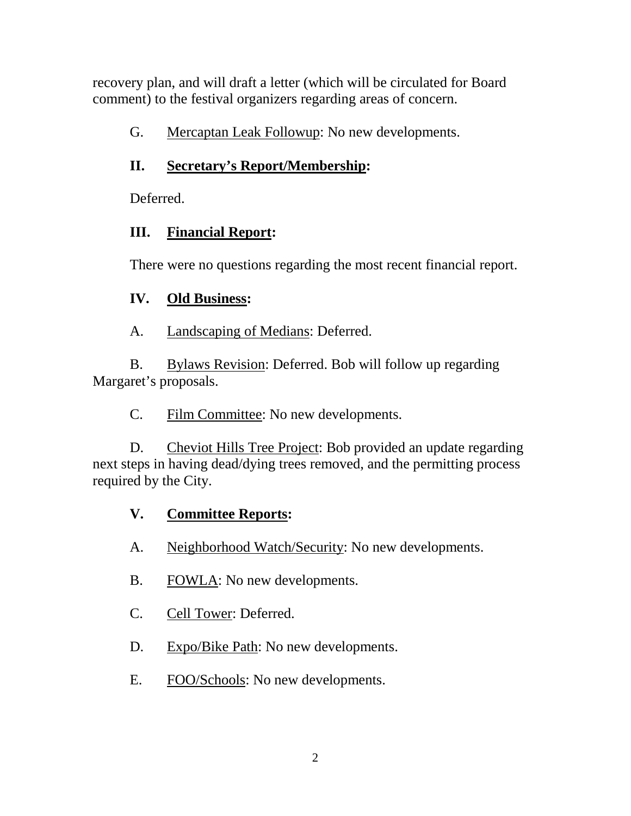recovery plan, and will draft a letter (which will be circulated for Board comment) to the festival organizers regarding areas of concern.

G. Mercaptan Leak Followup: No new developments.

## **II. Secretary's Report/Membership:**

Deferred.

## **III. Financial Report:**

There were no questions regarding the most recent financial report.

## **IV. Old Business:**

A. Landscaping of Medians: Deferred.

B. Bylaws Revision: Deferred. Bob will follow up regarding Margaret's proposals.

C. Film Committee: No new developments.

D. Cheviot Hills Tree Project: Bob provided an update regarding next steps in having dead/dying trees removed, and the permitting process required by the City.

## **V. Committee Reports:**

- A. Neighborhood Watch/Security: No new developments.
- B. FOWLA: No new developments.
- C. Cell Tower: Deferred.
- D. Expo/Bike Path: No new developments.
- E. FOO/Schools: No new developments.